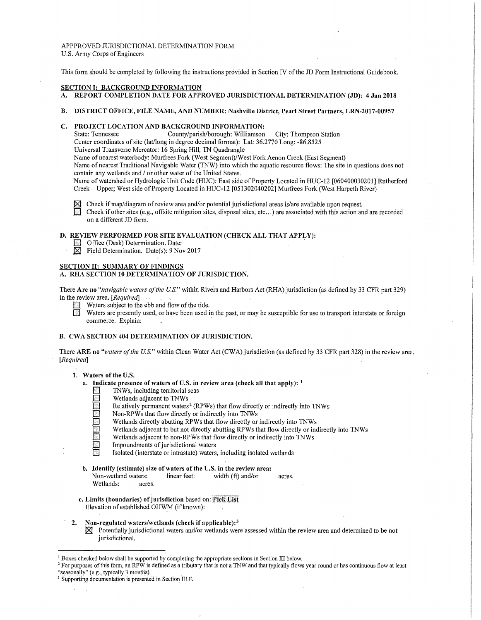## APPPROVED JURISDICTIONAL DETERMINATION FORM U.S. Army Corps of Engineers

This form should be completed by following the instructions provided in Section IV of the JD Form Instructional Guidebook.

#### **SECTION I: BACKGROUND INFORMATION**

- **A. REPORT COMPLETION DATE FOR APPROVED JURISDICTIONAL DETERMINATION (JD): 4 Jan 2018**
- **B. DISTRICT OFFICE, FILE NAME, AND NUMBER: Nashville District, Pearl Street Partners, LRN-2017-00957**

# **C. PROJECT LOCATION AND BACKGROUND INFORMATION:**<br>State: Tennessee County/parish/borough: Williamson

County/parish/borough: Williamson City: Thompson Station

Center coordinates of site (lat/long in degree decimal format): Lat: 36.2770 Long: -86.8525

Universal Transverse Mercator: 16 Spring Hill, TN Quadrangie

Name of nearest waterbody: Murfrees Fork (West Segment)/West Fork Aenon Creek (East Segment)

Name of nearest Traditional Navigable Water (TNW) into which the aquatic resource flows: The site in questions does not contain any wetlands and / or other water of the United States.

Name of watershed or Hydrologic Unit Code (HUC): East side of Property Located in HUC-12 [060400030201] Rutherford Creek- Upper; West side of Property Located in HUC-12 (051302040202] Murfrees Fork (West Harpeth River)

 $\boxtimes$  Check if map/diagram of review area and/or potential jurisdictional areas is/are available upon request.

**0** Check if other sites (e.g., offsite mitigation sites, disposal sites, etc ... ) are associated with this action and are recorded on a different JD form.

# **D. REVIEW PERFORMED FOR SITE EVALUATION (CHECK ALL THAT APPLY):**

- Office (Desk) Determination. Date:<br> **2** Field Determination. Date(s): 9 No
	- Field Determination. Date(s): 9 Nov 2017

#### **SECTION II: SUMMARY OF FINDINGS**

## A. RHA SECTION 10 DETERMINATION OF JURISDICTION.

There **Are no** *"navigable waters of the U.S."* within Rivers and Harbors Act (RHA) jurisdiction (as defined by 33 CFR part 329) in the review area. *[Requii·edJ* 

- Waters subject to the ebb and flow of the tide.
- Waters are presently used, or have been used in the past, or may be susceptible for use to transport interstate or foreign commerce. Explain:

## **B. CWA SECTION 404 DETERMINATION OF JURISDICTION.**

There **ARE no** *"waters of the U.S."* within Clean Water Act (CWA) jurisdiction (as defined by 33 CFR part 328) in the review area. *[Required]* 

# **1. Waters of the U.S.**

- **a. Indicate presence of waters of U.S. in review area (check all that apply):** <sup>1</sup>
	- **0** 1NWs, including territorial seas
	- **0** Wetlands adjacent to 1NWs
	- Relatively permanent waters<sup>2</sup> (RPWs) that flow directly or indirectly into TNWs
	- Non-RPWs that flow directly or indirectly into TNWs
	- Wetlands directly abutting RPWs that flow directly or indirectly into TNWs
	- Wetlands adjacent to but not directly abutting RPWs that flow directly or indirectly into TNWs
	- Wetlands adjacent to non-RPWs that flow directly or indirectly into TNWs
	- **IMED** Impoundments of jurisdictional waters
	- **0** Isolated (interstate or intrastate) waters, including isolated wetlands
- **b. Identify (estimate) size of waters of the U.S. in the review area:**

Non-wetland waters: linear feet: width (ft) and/or acres. Wetlands: acres.

- **c. Limits (boundaries) of jurisdiction** based on: **:Pick List**  Elevation of established OHWM (if known):
- · **2. Non-regulated waters/wetlands (check if applicable): <sup>3</sup>**
	- **181** Potentially jurisdictional waters and/or wetlands were assessed within the review area and determined to be not jurisdictional.

<sup>&</sup>lt;sup>1</sup> Boxes checked below shall be supported by completing the appropriate sections in Section III below.<br><sup>2</sup> For purposes of this form, an RPW is defined as a tributary that is not a TNW and that typically flows year-round

<sup>&</sup>lt;sup>3</sup> Supporting documentation is presented in Section III.F.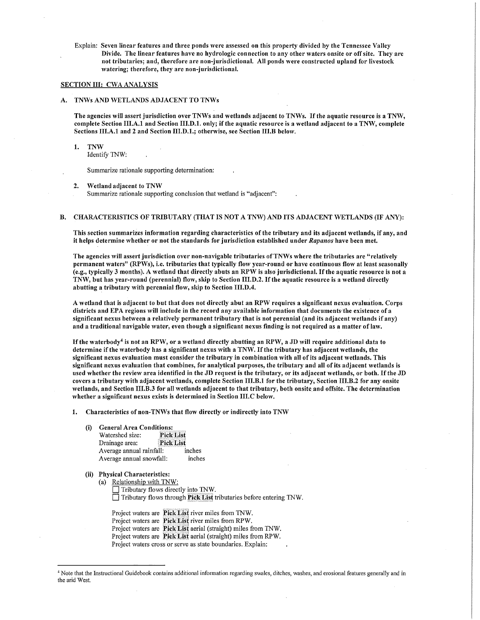Explain: Seven linear features and three ponds were assessed on this property divided by the Tennessee Valley Divide. The linear features have no hydrologic connection to any other waters onsite or off site. They are not tributaries; and, therefore are non-jurisdictional. All ponds were constructed upland for livestock watering; therefore, they are non-jurisdictional.

# SECTION III: CWA ANALYSIS

## A. TNWs AND WETLANDS ADJACENT TO TNWs

The agencies will assert jurisdiction over TNWs and wetlands adjacent to TNWs. If the aquatic resource is a TNW, complete Section III.A.1 and Section III.D.1. only; if the aquatic resource is a wetland adjacent to a TNW, complete Sections III.A.1 and 2 and Section III.D.1.; otherwise, see Section III.B below.

1. TNW

Identify 1NW:

Summarize rationale supporting determination:

2. Wetland adjacent to TNW

Summarize rationale supporting conclusion that wetland is "adjacent":

## B. CHARACTERISTICS OF TRIBUTARY (THAT IS NOT A TNW) AND ITS ADJACENT WETLANDS (IF ANY):

This section summarizes information regarding characteristics of the tributary and its adjacent wetlands, if any, and it helps determine whether or not the standards for jurisdiction established under *Rapanos* have been met.

The agencies will assert jurisdiction over non-navigable tributaries ofTNWs where the tributaries are "relatively permanent waters" (RPWs), i.e. tributaries that typically flow year-round or have continuous flow at least seasonally (e.g., typically 3 months). A wetland that directly abuts an RPW is also jurisdictional. If the aquatic resource is not a TNW, but has year-round (perennial) flow, skip to Section 111.D.2. If the aquatic resource is a wetland directly abutting a tributary with perennial flow, skip to Section III.D.4.

A wetland that is adjacent to but that does not directly abut an RPW requires a significant nexus evaluation. Corps districts and EPA regions will include in the record any available information that documents the existence of a significant nexus between a relatively permanent tributary that is not perennial (and its adjacent wetlands if any) and a traditional navigable water, even though a significant nexus finding is not required as a matter of law.

If the waterbody<sup>4</sup> is not an RPW, or a wetland directly abutting an RPW, a JD will require additional data to determine if the waterbody has a significant nexus with a TNW. If the tributary has adjacent wetlands, the significant nexus evaluation must consider the tributary in combination with all of its adjacent wetlands. This significant nexus evaluation that combines, for analytical purposes, the tributary and all of its adjacent wetlands is used whether the review area identified in the JD request is the tributary, or its adjacent wetlands, or both. If the JD covers a tributary with adjacent wetlands, complete Section Ill.B.l for the tributary, Section Ill.B.2 for any onsite wetlands, and Section Ill.B.3 for all wetlands adjacent to that tributary, both onsite and offsite. The determination whether a significant nexus exists is determined in Section III.C below.

1. Characteristics of non-TNWs that flow directly or indirectly into TNW

(i) General Area Conditions:

| Watershed size:             | <b>Pick List</b> |  |
|-----------------------------|------------------|--|
| Pick List<br>Drainage area: |                  |  |
| Average annual rainfall:    | inches           |  |
| Average annual snowfall:    | inches           |  |

## (ii) Physical Characteristics:

(a) Relationship with 1NW:  $\Box$  Tributary flows directly into TNW.  $\Box$  Tributary flows through Pick List tributaries before entering TNW.

Project waters are Pick List river miles from TNW. Project waters are Pick List river miles from RPW. Project waters are Pick List aerial (straight) miles from TNW. Project waters are Pick List aerial (straight) miles from RPW. Project waters cross or serve as state boundaries. Explain:

<sup>&</sup>lt;sup>4</sup> Note that the Instructional Guidebook contains additional information regarding swales, ditches, washes, and erosional features generally and in the arid West.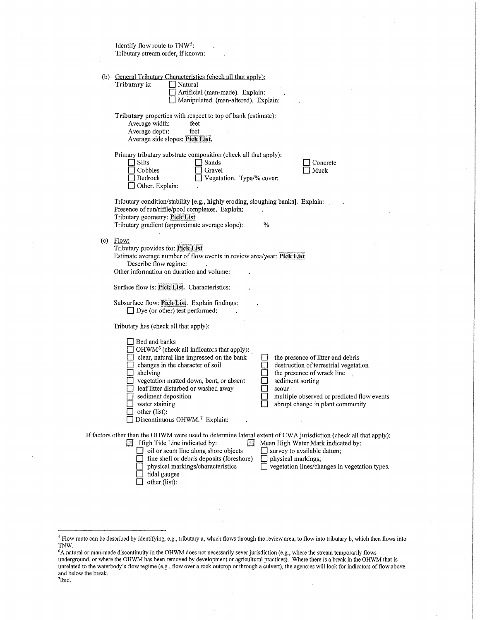| Identify flow route to TNW <sup>5</sup> :<br>Tributary stream order, if known:                                                                                                                                                                                                                                                                                                                                                                                                                                                                                                          |
|-----------------------------------------------------------------------------------------------------------------------------------------------------------------------------------------------------------------------------------------------------------------------------------------------------------------------------------------------------------------------------------------------------------------------------------------------------------------------------------------------------------------------------------------------------------------------------------------|
| (b) General Tributary Characteristics (check all that apply):<br>Tributary is:<br>Natural<br>Artificial (man-made). Explain:<br>Manipulated (man-altered). Explain:                                                                                                                                                                                                                                                                                                                                                                                                                     |
| Tributary properties with respect to top of bank (estimate):<br>Average width:<br>feet<br>Average depth:<br>feet<br>Average side slopes: Pick List.                                                                                                                                                                                                                                                                                                                                                                                                                                     |
| Primary tributary substrate composition (check all that apply):<br>Silts<br>Sands<br>Concrete<br>Cobbles<br>Gravel<br>Muck<br>Bedrock<br>Vegetation. Type/% cover:<br>Other. Explain:                                                                                                                                                                                                                                                                                                                                                                                                   |
| Tributary condition/stability [e.g., highly eroding, sloughing banks]. Explain:<br>Presence of run/riffle/pool complexes. Explain:<br>Tributary geometry: Pick List<br>Tributary gradient (approximate average slope):<br>%                                                                                                                                                                                                                                                                                                                                                             |
| $(c)$ Flow:<br>Tributary provides for: Pick List<br>Estimate average number of flow events in review area/year: Pick List<br>Describe flow regime:<br>Other information on duration and volume:                                                                                                                                                                                                                                                                                                                                                                                         |
| Surface flow is: Pick List. Characteristics:                                                                                                                                                                                                                                                                                                                                                                                                                                                                                                                                            |
| Subsurface flow: Pick List. Explain findings:<br>$\Box$ Dye (or other) test performed:                                                                                                                                                                                                                                                                                                                                                                                                                                                                                                  |
| Tributary has (check all that apply):                                                                                                                                                                                                                                                                                                                                                                                                                                                                                                                                                   |
| Bed and banks<br>OHWM <sup>6</sup> (check all indicators that apply):<br>clear, natural line impressed on the bank<br>the presence of litter and debris<br>changes in the character of soil<br>destruction of terrestrial vegetation<br>shelving<br>the presence of wrack line<br>vegetation matted down, bent, or absent<br>sediment sorting<br>leaf litter disturbed or washed away<br>scour<br>multiple observed or predicted flow events<br>sediment deposition<br>water staining<br>abrupt change in plant community<br>other (list):<br>Discontinuous OHWM. <sup>7</sup> Explain: |
| If factors other than the OHWM were used to determine lateral extent of CWA jurisdiction (check all that apply):<br><b>High Tide Line indicated by:</b><br>Mean High Water Mark indicated by:<br>oil or scum line along shore objects<br>survey to available datum;<br>fine shell or debris deposits (foreshore)<br>physical markings;<br>physical markings/characteristics<br>vegetation lines/changes in vegetation types.<br>tidal gauges<br>other (list):                                                                                                                           |

<sup>5</sup> Flow route can be described by identifying, e.g., tributary a, which flows through the review area, to flow into tributary b, which then flows into TNW.

6 A natural or man-made discontinuity in the OHWM does not necessarily sever jurisdiction (e.g., where the stream temporarily flows underground, or where the OHWM has been removed by development or agricultural practices). Where there is a break in the OHWM that is unrelated to the waterbody's flow regime (e.g., flow over a rock outcrop or through a culvert), the agencies will look for indicators of flow above and below the break. 7Ibid.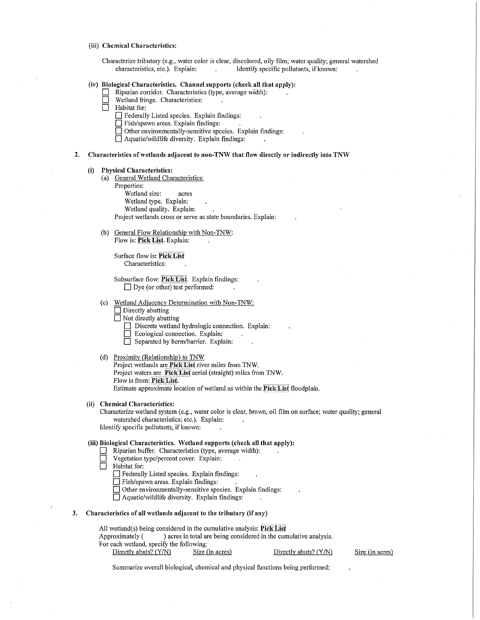#### **(iii) Chemical Characteristics:**

Characterize tributary (e.g., water color is clear, discolored, oily film; water quality; general watershed characteristics, etc.). Explain: Identify specific pollutants, if known:

#### **(iv) Biological Characteristics. Channel supports (check all that apply):**

- $\Box$  Riparian corridor. Characteristics (type, average width):
	- Wetland fringe. Characteristics:
- Habitat for:
	- 0 Federally Listed species. Explain findings:
	- 0 Fish/spawn areas. Explain findings: .
	- D Other environmentally-sensitive species. Explain findings:
	- D Aquatic/wildlife diversity. Explain findings:

## **2. Characteristics of wetlands adjacent to non-TNW that flow directly or indirectly into TNW**

#### **(i) Physical Characteristics:**

- (a) General Wetland Characteristics:
	- Properties:

Wetland size: acres

Wetland type. Explain:

Wetland quality. Explain:

Project wetlands cross or serve as state boundaries. Explain:

(b) General Flow Relationship with Non-TNW: Flow is: Pick List. Explain:

Surface flow is: Pick List Characteristics:

Subsurface flow: Pick List. Explain findings:  $\Box$  Dye (or other) test performed:

(c) Wetland Adjacency Determination with Non-TNW:

 $\Box$  Directly abutting

 $\Box$  Not directly abutting

**Discrete wetland hydrologic connection. Explain:** 

- $\Box$  Ecological connection. Explain:
- $\Box$  Separated by berm/barrier. Explain:

(d) Proximitv (Relationship) to TNW

Project wetlands are **Piel< Lis(** river miles from TNW.

Project waters are **Pick List** aerial (straight) miles from TNW.

Flow is from: Pick List.

Estimate approximate location of wetland as within the Pick List floodplain.

## **(ii) Chemical Characteristics:**

Characterize wetland system (e.g., water color is clear, brown, oil film on surface; water quality; general watershed characteristics; etc.). Explain: Identify specific pollutants, if known:

#### **(iii) Biological Characteristics. Wetland supports (check all that apply):**

- **0** Riparian buffer. Characteristics (fype, average width):
- Vegetation type/percent cover. Explain:<br>
Habitat for:

Habitat for:

- **0** Federally Listed species. Explain findings:
- $\Box$  Fish/spawn areas. Explain findings:

**D** Other environmentally-sensitive species. Explain findings:

0 Aquatic/wildlife diversity. Explain findings:

## **3. Characteristics of all wetlands adjacent to the tributary (if any)**

All wetland(s) being considered in the cumulative analysis: **Pick List** 

Approximately ( ) acres in total are being considered in the cumulative analysis. For each wetland, specify the following:

Directly abuts? (Y/N) Size (in acres) Directly abuts? (Y/N)

Size (in acres)

Summarize overall biological, chemical and physical functions being performed: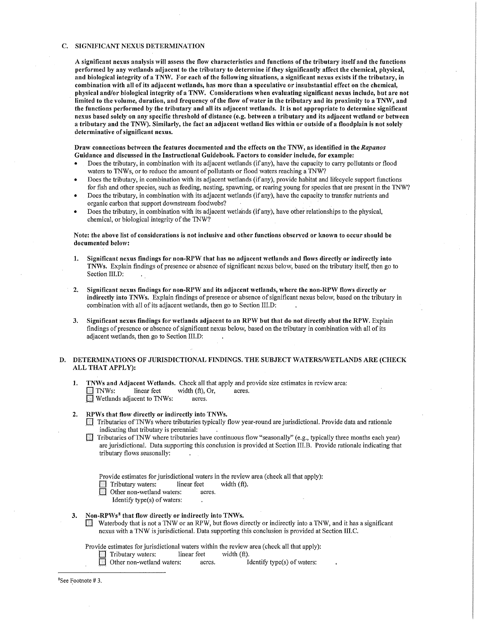#### C. SIGNIFICANT NEXUS DETERMINATION

A significant nexus analysis will assess the flow characteristics and functions of the tributary itself and the functions performed by any wetlands adjacent to the tributary to determine if they significantly affect the chemical, physical, and biological integrity of a TNW. For each of the following situations, a significant nexus exists if the tributary, in combination with all of its adjacent wetlands, has more than a speculative or insubstantial effect on the chemical, physical and/or biological integrity of a TNW. Considerations when evaluating significant nexus include, but are not limited to the volume, duration, and frequency of the flow of water in the tributary and its proximity to a TMV, and the functions performed by the tributary and all its adjacent wetlands. It is not appropriate to determine significant nexus based solely on any specific threshold of distance (e.g. between a tributary and its adjacent wetland or between a tributary and the TNW). Similarly, the fact an adjacent wetland lies within or outside of a floodplain is not solely determinative of significant nexus.

#### Draw connections between the features documented and the effects on the TNW, as identified in the Rapanos Guidance and discussed in the Instructional Guidebook. Factors to consider include, for example:

- Does the tributary, in combination with its adjacent wetlands (if any), have the capacity to carry pollutants or flood waters to TNWs, or to reduce the amount of pollutants or flood waters reaching a TNW?
- Does the tributary, in combination with its adjacent wetlands (if any), provide habitat and lifecycle support functions for fish and other species, such as feeding, nesting, spawning, or rearing young for species that are present in the TNW?
- Does the tributary, in combination with its adjacent wetlands (if any), have the capacity to transfer nutrients and organic carbon that support downstream foodwebs?
- Does the tributary, in combination with its adjacent wetlands (if any), have other relationships to the physical, chemical, or biological integrity of the TNW?

## Note: the above list of considerations is not inclusive and other functions observed or known to occur should be documented below:

- 1. Significant nexus findings for non-RPW that has no adjacent wetlands and flows directly or indirectly into TMVs. Explain findings of presence or absence of significant nexus below, based on the tributary itself, then go to Section III.D:
- 2. Significant nexus findings for non-RPW and its adjacent wetlands, where the non-RPW flows directly or indirectly into TMVs. Explain findings of presence or absence of significant nexus below, based on the tributary in combination with all of its adjacent wetlands, then go to Section III.D:
- 3. Significant nexus findings for wetlands adjacent to an RPW but that do not directly abut the RPW. Explain findings of presence or absence of significant nexus below, based on the tributary in combination with all of its adjacent wetlands, then go to Section III.D:

## D. DETERMINATIONS OF JURISDICTIONAL FINDINGS. THE SUBJECT WATERS/WETLANDS ARE (CHECK ALL THAT APPLY):

1. TMVs and Adjacent Wetlands. Check all that apply and provide size estimates in review area:  $\Box$  TNWs: linear feet width (ft), Or, acres. **E** Wetlands adjacent to TNWs: acres.

#### 2. RPWs that flow directly or indirectly into TNWs.

- 0 Tributaries ofTNWs where tributaries typically flow year-round are jurisdictional. Provide data and rationale indicating that tributary is perennial:
- Tributaries of TNW where tributaries have continuous flow "seasonally" (e.g., typically three months each year) are jurisdictional. Data supporting this conclusion is provided at Section III.B. Provide rationale indicating that tributary flows seasonally:

Provide estimates for jurisdictional waters in the review area (check all that apply):<br>
Tributary waters: linear feet width (ft).<br>
Other non-wetland waters: acres.

Tributary waters: linear feet width (ft).

Other non-wetland waters: acres.

Identify type(s) of waters:

#### 3. Non-RPWs<sup>8</sup> that flow directly or indirectly into TNWs.

**EXECUTE Waterbody that is not a TNW or an RPW, but flows directly or indirectly into a TNW, and it has a significant** . .. nexus with a TNW is jurisdictional. Data supporting this conclusion is provided at Section III.C.

Provide estimates for jurisdictional waters within the review area (check all that apply):

Tributary waters: linear feet width (ft).

Other non-wetland waters: acres. Identify type(s) of waters:

8 See Footnote# 3.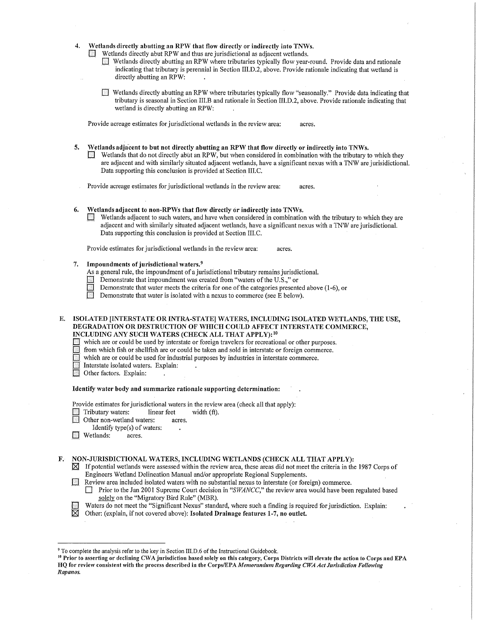- Wetlands directly abutting an RPW that flow directly or indirectly into TNWs.
	- 0 Wetlands directly abut RPW and thus are jurisdictional as adjacent wetlands.
		- 0 Wetlands directly abutting an RPW where tributaries typically flow year-round. Provide data and rationale . indicating that tributary is perennial in Section III.D.2, above. Provide rationale indicating that wetland is directly abutting an RPW:
		- 0 Wetlands directly abutting an RPW where tributaries typically flow "seasonally." Provide data indicating that tributary is seasonal in Section III.B and rationale in Section III.D.2, above. Provide rationale indicating that wetland is directly abutting an RPW:

Provide acreage estimates for jurisdictional wetlands in the review area: acres.

- Wetlands adjacent to but not directly abutting an RPW that flow directly or indirectly into TNWs.
	- Wetlands that do not directly abut an RPW, but when considered in combination with the tributary to which they are adjacent and with similarly situated adjacent wetlands, have a significant nexus with a TNW are jurisidictional. Data supporting this conclusion is provided at Section III.C.

Provide acreage estimates for jurisdictional wetlands in the review area: acres.

- 6. Wetlands adjacent to non-RPWs that flow directly or indirectly into TNWs.<br> $\Box$  Wetlands adjacent to such waters, and have when considered in combination
	- Wetlands adjacent to such waters, and have when considered in combination with the tributary to which they are adjacent and with similarly situated adjacent wetlands, have a significant nexus with a 1NW are jurisdictional. Data supporting this conclusion is provided at Section III.C.

Provide estimates for jurisdictional wetlands in the review area: acres.

- 7. Impoundments of jurisdictional waters. <sup>9</sup>
	- As a general rule, the impoundment of a jurisdictional tributary remains jurisdictional.
	- **EXECUTE:** Demonstrate that impoundment was created from "waters of the U.S.," or Demonstrate that water meets the criteria for one of the categories presented
	- Demonstrate that water meets the criteria for one of the categories presented above (1-6), or
	- Demonstrate that water is isolated with a nexus to commerce (see E below).
- E. ISOLATED [INTERSTATE OR INTRA-STATE] WATERS, INCLUDING ISOLATED WETLANDS, THE USE, DEGRADATION OR DESTRUCTION OF WHICH COULD AFFECT INTERSTATE COMMERCE, INCLUDING ANY SUCH WATERS (CHECK ALL THAT APPLY): <sup>10</sup>
	- 0 which are or could be used by interstate or foreign travelers for recreational or other purposes.

0 from which fish or shellfish are or could be taken and sold in interstate or foreign commerce.

- which are or could be used for industrial purposes by industries in interstate commerce.
- Interstate isolated waters. Explain:
- Other factors. Explain:

#### Identify water body and summarize rationale supporting determination:

Provide estimates for jurisdictional waters in the review area (check all that apply):

- Tributary waters: linear feet width (ft).
- Other non-wetland waters: acres.
- Identify type(s) of waters:
- **I** Wetlands: acres.

F. NON-JURISDICTIONAL WATERS, INCLUDING WETLANDS (CHECK ALL THAT APPLY):

- $\boxtimes$  If potential wetlands were assessed within the review area, these areas did not meet the criteria in the 1987 Corps of Engineers Wetland Delineation Manual and/or appropriate Regional Supplements.
- D Review area included isolated waters with no substantial nexus to interstate (or foreign) commerce.
	- **Drior to the Jan 2001 Supreme Court decision in "SWANCC," the review area would have been regulated based** solely on the "Migratory Bird Rule" (MBR).
- Waters do not meet the "Significant Nexus" standard, where such a finding is required for jurisdiction. Explain:<br>
Other: (explain, if not covered above): Isolated Drainage features 1-7, no outlet.
- Other: (explain, if not covered above): Isolated Drainage features 1-7, no outlet.

<sup>&</sup>lt;sup>9</sup> To complete the analysis refer to the key in Section III.D.6 of the Instructional Guidebook.<br><sup>10</sup> Prior to asserting or declining CWA jurisdiction based solely on this category, Corps Districts will elevate the action HQ for review consistent with the process described in the Corps/EPA Memorandum Regarding CWA Act Jurisdiction Following *R11p1111os.*